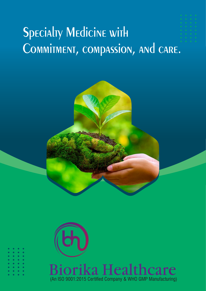# **Specialty Medicine with** Commitment, compassion, and care.



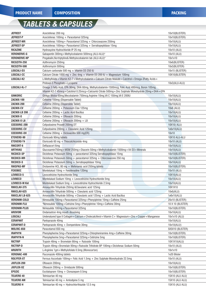# **TABLETS & CAPSULES**

| <b>JEFREST</b>         | Aceclofenac 200 mg                                                                                            | 10x10(BLISTER)    |
|------------------------|---------------------------------------------------------------------------------------------------------------|-------------------|
| <b>JEFREST-P</b>       | Aceclofenac 100mg + Paracetamol 325mg                                                                         | 10x10(BLISTER)    |
| <b>JEFREST-MR</b>      | Aceclofenac 100mg + Paracetamol 325mg + Chlorzoxazone 250mg                                                   | 10x10(ALU)        |
| JEFREST-SP             | Aceclofenac 100mg + Paracetamol 325mg + Serratiopeptidase 15mg                                                | 10x10(ALU)        |
| <b>RICAZINE</b>        | Hydroxyzine Hydrochloride IP 25 mg                                                                            | 10x10 (ALU)       |
| <b>VERONERVE-G</b>     | Gabapentin 300mg+Methylcobalamin 500mcg (ALU-ALU)"                                                            | 10x10 (ALU)       |
| <b>VERONERVE-NP</b>    | Pregabalin, Nortriptyline& Methylocobalamin tab (ALU-ALU)"                                                    | 10x1x10           |
| RICOZITH-250           | Azithromycin 250mg                                                                                            | 10x6(BLISTER)     |
| RICOZITH-500           | Azithromycin 500mg                                                                                            | 10x3(BLISTER)     |
| LOGCALI-D3             | Calcium carbonate 500 mg + Vitamin D3 250 IU                                                                  | 10x15 (BLISTER)   |
| LOGCALI-CC             | Calcium Citrate 1000 mg + Zinc 4mg + Vitamin D3 200 IU + Magnesium 100mg                                      | 10X10(BLISTER)    |
| LOGCALI-K2             | L-Methylfolate + Vitamin K2-7 + Methylcobalamin + Calcuim Citrate Maleate + Calcitriol + Omega-3Fatty Acids + |                   |
|                        | Pridoxal-5 Phosphate + Lycopene                                                                               | 10x3(ALU-ALU)     |
| LOGCALI-K2-7           | Omega 3 Fatty Acid, EPA 90mg, DHA 60mg, Methylcobalamin-1500mcg, Folic Acid 400mcg, Boron 105mg,              |                   |
|                        | Vitamin K2-7 45mcg+Calcitriol 0.25mcg+Calciumb Citrate 500mg+Zinc Sulphate Monohydrate 20mg+DHA+EPA           |                   |
| <b>GINKORIC</b>        | Ginkgo Biloba 60mg, Mecobalamin 750mcg, Arginine 10mg, Vit C 150mg, Vit E 200IU                               | 10x10(ALU)        |
| ZACNIX-100             | Cefixime 100mg (Dispersable Tablet)                                                                           | 10x10(ALU)        |
| ZACNIX-200             | Cefixime 200mg (Dispersible Tablet)                                                                           | 10x10(ALU)        |
| ZACNIX-CV              | Cefixime 200mg + Potassium Clav 125mg                                                                         | $10x6$ (ALU)      |
| ZACNIX-LB 200          | Cefixime 200mg + Lactic Acid Bacillus                                                                         | 10x10(ALU)        |
| ZACNIX-0               | Cefixime 200mg + Ofloxacin 200mg                                                                              | 10x10(ALU)        |
| <b>ZACNIX-OLB</b>      | Cefixime 200mg + Ofloxacin 200mg + LB                                                                         | 10x10(ALU)        |
| CEEDORIC-200           | Cefpodoxime Proxetil 200mg DT                                                                                 | 10X10(ALU)        |
| <b>CEEDORIC-CV</b>     | Cefpodoxime 200mg + Clavulanic Acid 125mg                                                                     | 1x6x10(ALU)       |
| <b>CEEDORIC-DX</b>     | Cefixime 200mg + Dicloxacillin 500 mg(ER)                                                                     | 10x10             |
| ETOVERO-90             | Etoricoxib 90mg tablets                                                                                       | 10X10 ALU-ALU     |
| ETOVERO-T4             | Etoricoxib 60 mg + Thiocolchicoside 4mg                                                                       | 10x10 (ALU)       |
| RIKCORT-6              | Deflazacort 6mg                                                                                               | 10x10(ALU)        |
| <b>ARTHVAS</b>         | Glucosamin750mg + MSM 250mg + Diacerin 50mg + Methylcobalamin 1500mg + Vit D3 + Minerals                      | 10x10(ALU)        |
| RICDICO-SP             | Diclofenac Potassium 50mg + paracetamol 325mg Serratiopeptidase 15mg                                          | 10x10(BLISTER)    |
| <b>RICDICO-MR</b>      | Diclofenac Potassium 50mg + paracetamol 325mg + Chlorzoxazone 250 mg                                          | 10x10(BLISTER)    |
| RICDICO-S              | Diclofenac Potassium 50mg + Serratiopeptidase 10mg                                                            | 10x10(ALU)        |
| <b>RIKSPAS-MF</b>      | Drotaverine HCL 80 mg + Mefenamic acid 250mg tablets                                                          | 10x10(BLISTER)    |
| <b>FEXOBEC</b>         | Montelukast 10mg + Fexofenadine 120mg                                                                         | 10x10 (ALU)       |
| LEVBECO-5              | Levocetirizine Hydrochloride 5mg                                                                              | 10X10(ALU)        |
| <b>LEVBECO</b>         | Montelukast Sodium 10mg + Levocetirizine Hydrochloride 5mg                                                    | 10x10(ALU)        |
| <b>LEVBECO-M Kid</b>   | Montelukast Sodium 5mg + Levocetirizine Hydrochloride 2.5mg                                                   | 10x10(ALU)        |
| RIKICLAV-375           | Amoxycillin Trihydrate 250mg & Clavulanic acid 125mg                                                          | 10X1X10           |
| RIKICLAV-625           | Amoxycillin Trihydrate 500mg + Clavulanic acid 125mg                                                          | 10x6(ALU)         |
| <b>RIKICLAV LB-625</b> | Amoxycillin Trihydrate 500mg + Clavulanic acid 125mg + Lactic Acid Bacillus                                   | 1x6x10(ALU)       |
| <b>VERONIM-COLD</b>    | Nimesulide 100mg+Paracetamol 325mg+Phenylphrine 10mg+Caffeine 25mg                                            | 20x10 (BLISTER)   |
| <b>VERONIM-FLU</b>     | "Nimesulide 100mg + Cetrizine 5mg + Phenylphrine 10mg + Caffeine 30mg                                         | 10 X 10 (BLISTER) |
| <b>VERONIM-PLUS</b>    | Nimesulide 100mg + Paracetamol 325mg                                                                          | 10x10(BLISTER)    |
| <b>AROVOM</b>          | Ondansetron 4mg mouth dissolving                                                                              | 10x10(ALU)        |
| LOGCALI                | Undenatured type II Collagen+Calcium+Cholecalciferol+Vitamin C+ Magnesium+Zinc+Copper+Manganese               | 10x1x10 (ALU)     |
| <b>CERAPANT</b>        | Pantoprazole 40mg                                                                                             | 10x10(ALU)        |
| <b>CERAPANT-D</b>      | Pantoprazole 40mg + Domperidone 30mg                                                                          | 10x10(ALU)        |
| MOLRIC-650             | Paracetamol 650 mg                                                                                            | 5X5X10 (BLISTER)  |
| <b>IRAPHYN</b>         | Phenylepherine 5mg + Paracetamol 325mg + Chlorpheniramine 4mg + Caffeine 30mg                                 | 10x10(BLISTER)    |
| <b>IRAPHYN-N</b>       | Phenylepherine 5mg + Paracetamol 325mg + Cetirizine 5mg                                                       | 10x10(BLISTER)    |
| <b>RICTRIP</b>         | Trypsin 48mg + Bromelain 90mg + Rutoside 100mg                                                                | 10X1X10(ALU)      |
| <b>RICTRIP-D</b>       | Trypsin 48mg + Bromelain 90mg + Rutoside Trihidrate BP 100mg + Diclofenac Sodium 50mg                         | 10x10 (ALU)       |
| <b>ARGRITH</b>         | L-Arginine 1gm + Methylofolate 0.5mg (Monocarton)                                                             | 10x1x10           |
| VERONAC-400            | Fluconazole 400mg tablets                                                                                     | 1x20 Blister      |
|                        |                                                                                                               |                   |
| ROLYFER-XT             | Ferrous Ascorbate 100mg + Folic Acid 1.5mg + Zinc Sulphate Monohydrate 22.5mg                                 | 10x10 (ALU)       |
| <b>JIXFLOX-200</b>     | Ofloxacin 200mg                                                                                               | 10x10(ALU)        |
| JIXFLOX-OZ             | Ofloxacin 200mg + Ornidazole 500mg                                                                            | 10x10(BLISTER)    |
| <b>EPOZIC</b>          | Escitalopram 10mg + Clonazepam 0.5mg                                                                          | 10x10(BLISTER)    |
| TELVERO 40             | Telmisartan 40 mg                                                                                             | 15X10 (ALU ALU)   |
| <b>TELVERO AM</b>      | Telmisartan 40 mg + Amlodipine 5 mg                                                                           | 15X10 (ALU ALU)   |
| <b>TELVERO H</b>       | Telmisartan 40 mg + Hydrochlorthiazide 12.5 mg                                                                | 15X10 (ALU ALU)   |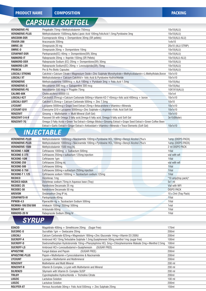<u> 1944 - John Harrison, mars et al. 1944 - Ann an Indian State of America and America and America and America and America and America and America and America and America and America and America and America and America and </u>

Ī

Ī

#### **CAPSULE / SOFTGEL**

| <b>VERONERVE-PG</b>   | Pregabalin 75mg+Methylcobalamin 750mcg                                                                    | 10x10(ALU)        |
|-----------------------|-----------------------------------------------------------------------------------------------------------|-------------------|
| <b>VERONERVE-PLUS</b> | Methylcobalamin 1500mcg, Alpha Lipoic Acid 100mg, FolicAcid 1.5mg, Pyridoxine 3mg                         | 10x10(ALU)        |
| <b>ARICDOM-DSR</b>    | Esomeprazole 40mg + Domperidone 30mg (SR pellets)                                                         | 10x10(ALU-ALU)    |
| ITAVOR-200            | Itraconazole 200mg                                                                                        | 1x4x10            |
| OMRIC-20              | Omeprazole 20 mg                                                                                          | 20x10 (ALU STRIP) |
| OMRIC-D               | Omeprazole 20mg + Domperidone 10mg                                                                        | 10x10(ALU)        |
| <b>CERAPANT-DSR</b>   | Pantoprazole(EC) $40mg + Domperidone(SR)$ 30mg                                                            | 10x10(ALU)        |
| <b>RABNORD-IT</b>     | Rabeprazole 20mg + Itopride-150mg (SR Pellets)                                                            | 10x10(ALU-ALU)    |
| <b>RABNORD-DSR</b>    | Rabeprazole Sodium (EC) 20mg + Domperidone(SR) 30mg                                                       | 10x10(ALU)        |
| <b>RABNORD-LSR</b>    | Rabeprazole Sodium(EC) 20mg + Levosulpiride(SR) 75mg                                                      | 10x10(ALU)        |
| <b>PROBCIA</b>        | Pre & Pro Biotic Capsules                                                                                 | 10x10(ALU)        |
| <b>LOGCALI STRONG</b> | Calcitriol+Calcium Citrate+Magnesium Oxide+Zinc Sulphate Monohydrate+Methylcobalamin+L-Methylfolate,Boron | 10x1x10           |
| <b>LOGCALI XT</b>     | Methylcobalamin+ Calcium Calcitriol+ folic Acid & Pyridoxine Hydrochloride                                | 10x1x10           |
| <b>VERONERVE</b>      | Methylcobalamine 1500mcg + ALA 100mg + Pyridoxin 3mg + Folic Acid 1.5mg                                   | $10x10$ (Alu)     |
| <b>VERONERVE-G</b>    | Mecoblamin 500 mcg $+$ Gabapentine 300 mcg                                                                | 10x10(Alu)        |
| <b>VERONERVE-PG</b>   | Mecoblamin 500 mcg $+$ Pragblin 75mg                                                                      | 10X1X10(ALU)      |
| <b>CALIMO-60K</b>     | Cholecalciferol 60000 I.U.                                                                                | 10x1x4            |
| LOGCALI-K27           | Calcitrol(0.25mcg) + Calcium Carbonate 500mg + Vitamin K2-7 45mcg + folic acid 400mcg + boron             | 10x1x10           |
| <b>LOGCALI-SOFT</b>   | Calcitrol $0.25$ mcq + Calcium Carbonate $500$ mq + Zinc 7.5mq                                            | 10x10             |
| <b>LYCOUNT</b>        | Lycopene 5000mcg+Grape Seed Extract 25mg+Betacarotene+Vitamins+Minerals                                   | 10x1x10           |
| LYCOUNT-010           | Coenzyme Q10+Lycopene 5000mcg+Zinc Sulphate+L-Arginine+Folic Acid Soft Gel                                | 10x1x10           |
| <b>RENZOVIT</b>       | Ginseng + Multivitamin + Multi Mineral (Soft Gel)                                                         | 10x1x10           |
| <b>RENZOVIT-3-6-9</b> | Flaxseed Oil with Omega 3 fatty acid, Omega 6 fatty acid, Omega 9 fatty acid Soft Gel                     | 3x10(Blister)     |
| <b>RENZOVIT-7G</b>    | Omega-3 Fatty Acids+Green Tea Extract+Ginkgo Biloba+Ginseng Extract+Grape Seed Extract+Green Coffee Been  |                   |
|                       | Extract+Garlic Extract+Ginger Extract+Antioxidant+Vitamins+Minerals+Trace Elements (Soft Gel)             | 10x1x10           |

#### **INJECTABLE**

| <b>VERONERVE-PLUS</b>  | Methylcobalamin 1000mcq+Niacinamide 100mq+Pyridoxine HCL 100mq+Benzyl Alcohol 2%y/v       | 1amp (DISPO-PACK)    |
|------------------------|-------------------------------------------------------------------------------------------|----------------------|
| <b>VERONERVE-PLUS</b>  | Methylcobalamin 1000mcq + Niacinamide 100mq + Pyridoxine HCL 100mq + Benzyl Alcohol 2%y/v | 1amp (DISPO-PACK)    |
| <b>VERONERVE-1500</b>  | Methylcobalamin 1500 mcg Inj.                                                             | 2 ml DISPO PACK      |
| RICXONE-1.5GM          | Ceftriaxone 1000mg + Sulbactum 500mg                                                      | 1Vial                |
| <b>RICXONE-S 375</b>   | Ceftriaxone 250mg + sulbactum 125mg injection                                             | vial with wfi        |
| <b>RICXONE-1GM</b>     | Ceftriaxone 1gm                                                                           | 1Vial                |
| RICXONE-250            | Ceftriaxone 250mg inj                                                                     | vial with wfi        |
| RICXONE-500            | Ceftriaxone 500mg                                                                         | 1Vial                |
| <b>RICXONE-S 750</b>   | Ceftriaxone 500mg + sulbactum 250mg injection                                             | 1Vial                |
| <b>RICXONE-T 1.125</b> | Ceftriaxone sodium 1000mg + Tazobactum sodium 125mg                                       | 1Vial                |
| <b>RICDICO</b>         | Diclofenac 1mg                                                                            | "10 amp(tray pack)"  |
| <b>RICDICO AQUA</b>    | Diclofenac sodium 75mg in Aqueous base (Tray)                                             | $5x1$ ml             |
| RICODEC-25             | Nandrolone Decanoate 25 mg                                                                | Vial with WFI        |
| RICODEC-50             | Nandrolone Decanoate 50 mg                                                                | <b>DISPO PACK</b>    |
| AROVOM                 | Ondansetron 2mg IP Inj.                                                                   | 10 x 2ml (Tray Pack) |
| <b>CERAPANTO-IV</b>    | Pantoprazole 40mg                                                                         | 1Vial                |
| <b>PIPNOB-4.5</b>      | Piperacillin 4q + Tazobactam Sodium 500mg                                                 | 1Vial                |
| RICMIKA-100/250/500    | Amikacin 100mg/250mg/500mg                                                                | 1 vial               |
| RONART-60              | Artesunate 60mg                                                                           | 1Vial                |
| <b>RIBNORD-20 IV</b>   | Rabeprazole Sodium 20mg IV                                                                | 1Vial                |
|                        |                                                                                           |                      |

**SYRUP** 

| <b>EDACID</b>     | Magaldrate $400\text{mg} +$ Simethicone 20mg<br>(Sugar Free)                                              | 170ml             |
|-------------------|-----------------------------------------------------------------------------------------------------------|-------------------|
| SUCORIC-0         | Sucralfate 1gm + Oxetacaine 20mg                                                                          | 200ml             |
| LOGCALI           | Calcium Carbonate 625mg + Magnesium 180mg + Zinc Gluconate 14mg + Vitamin D3 200IU                        | 200ml             |
| SUCROFF-A         | Ambroxol HCl 15mg, Terbutaline Sulphate 1.5mg, Guaiphenesin 50mg, menthol 1mg (sugar free)                | 100ml             |
| SUCROFF-D         | Dextromethorphan Hydrobromide 10mg + Phenylephrine HCL 5mg + Chlorpheniramine Maleate 2mg + Menthol 2.5mg | 100ml             |
| <b>SUCROFF-LS</b> | Ambroxol HCl+Levosulbutamol+Guaiphenesin<br>(SUGAR FREE)                                                  | 100ml             |
| <b>APHOZYME</b>   | Fungal diatase and Pepsin<br>(SUGAR FREE)                                                                 | 200ml             |
| APHOZYME-PLUS     | Pepsin + Multivitamin + Cynocolabamine & Niacinamide                                                      | 200ml             |
| <b>LYCOUNT</b>    | Lycoepe+Multivitamin and Multimineral                                                                     | 200 <sub>ml</sub> |
| <b>RENZOVIT</b>   | <b>Multivitamin and Multi Mineral</b>                                                                     | 200 ml            |
| <b>RENZOVIT-B</b> | Vitamin B-Complex, L-Lysin with Multivitamin and Mineral                                                  | 200 ml            |
| <b>SILRENZO</b>   | Silymarin with Vitamin B- Complex SUSP                                                                    | 200 ml            |
| TRILBY            | Cyproheptadine Hydrochloride + Tricholine Citrate                                                         | 200ml             |
| <b>LOOZIC</b>     | Lactulose Solution                                                                                        | $100$ ml          |
| <b>LOOZIC</b>     | Lactulose Solution                                                                                        | 200ml             |
| <b>ROLYFER-XT</b> | Ferrous Ascorbate $30mq +$ Folic Acid $550mcq +$ Zinc Sulphate 25mg                                       | 150ml             |
|                   |                                                                                                           |                   |